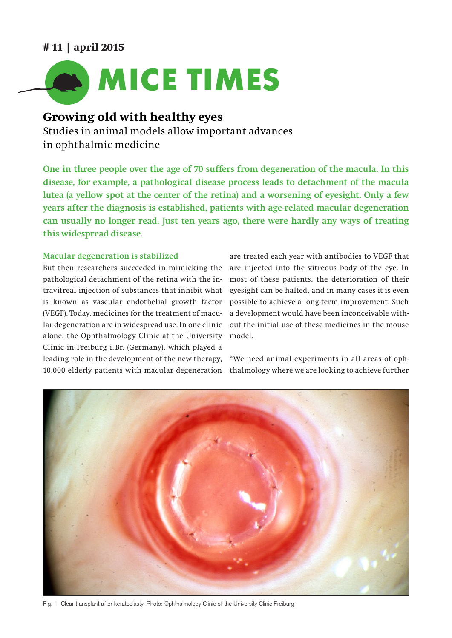## **# 11 | april 2015**



# **Growing old with healthy eyes**

Studies in animal models allow important advances in ophthalmic medicine

**One in three people over the age of 70 suffers from degeneration of the macula. In this disease, for example, a pathological disease process leads to detachment of the macula lutea (a yellow spot at the center of the retina) and a worsening of eyesight. Only a few years after the diagnosis is established, patients with age-related macular degeneration can usually no longer read. Just ten years ago, there were hardly any ways of treating this widespread disease.**

### **Macular degeneration is stabilized**

But then researchers succeeded in mimicking the pathological detachment of the retina with the intravitreal injection of substances that inhibit what is known as vascular endothelial growth factor (VEGF). Today, medicines for the treatment of macular degeneration are in widespread use. In one clinic alone, the Ophthalmology Clinic at the University Clinic in Freiburg i. Br. (Germany), which played a leading role in the development of the new therapy, 10,000 elderly patients with macular degeneration

are treated each year with antibodies to VEGF that are injected into the vitreous body of the eye. In most of these patients, the deterioration of their eyesight can be halted, and in many cases it is even possible to achieve a long-term improvement. Such a development would have been inconceivable without the initial use of these medicines in the mouse model.

"We need animal experiments in all areas of ophthalmology where we are looking to achieve further



Fig. 1 Clear transplant after keratoplasty. Photo: Ophthalmology Clinic of the University Clinic Freiburg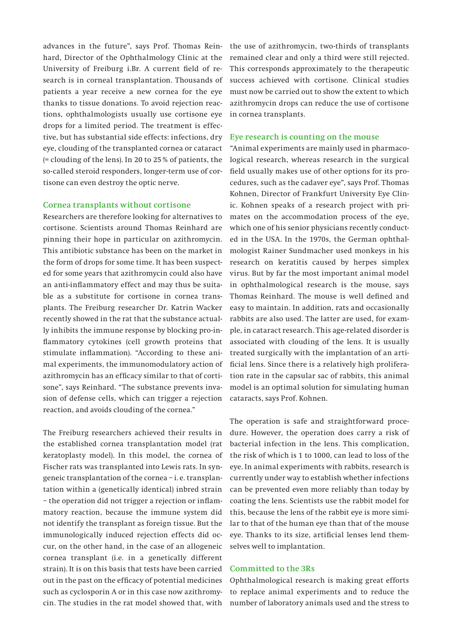advances in the future", says Prof. Thomas Reinhard, Director of the Ophthalmology Clinic at the University of Freiburg i.Br. A current field of research is in corneal transplantation. Thousands of patients a year receive a new cornea for the eye thanks to tissue donations. To avoid rejection reactions, ophthalmologists usually use cortisone eye drops for a limited period. The treatment is effective, but has substantial side effects: infections, dry eye, clouding of the transplanted cornea or cataract (= clouding of the lens). In 20 to 25 % of patients, the so-called steroid responders, longer-term use of cortisone can even destroy the optic nerve.

#### **Cornea transplants without cortisone**

Researchers are therefore looking for alternatives to cortisone. Scientists around Thomas Reinhard are pinning their hope in particular on azithromycin. This antibiotic substance has been on the market in the form of drops for some time. It has been suspected for some years that azithromycin could also have an anti-inflammatory effect and may thus be suitable as a substitute for cortisone in cornea transplants. The Freiburg researcher Dr. Katrin Wacker recently showed in the rat that the substance actually inhibits the immune response by blocking pro-inflammatory cytokines (cell growth proteins that stimulate inflammation). "According to these animal experiments, the immunomodulatory action of azithromycin has an efficacy similar to that of cortisone", says Reinhard. "The substance prevents invasion of defense cells, which can trigger a rejection reaction, and avoids clouding of the cornea."

The Freiburg researchers achieved their results in the established cornea transplantation model (rat keratoplasty model). In this model, the cornea of Fischer rats was transplanted into Lewis rats. In syngeneic transplantation of the cornea – i. e. transplantation within a (genetically identical) inbred strain – the operation did not trigger a rejection or inflammatory reaction, because the immune system did not identify the transplant as foreign tissue. But the immunologically induced rejection effects did occur, on the other hand, in the case of an allogeneic cornea transplant (i.e. in a genetically different strain). It is on this basis that tests have been carried out in the past on the efficacy of potential medicines such as cyclosporin A or in this case now azithromycin. The studies in the rat model showed that, with

the use of azithromycin, two-thirds of transplants remained clear and only a third were still rejected. This corresponds approximately to the therapeutic success achieved with cortisone. Clinical studies must now be carried out to show the extent to which azithromycin drops can reduce the use of cortisone in cornea transplants.

#### **Eye research is counting on the mouse**

"Animal experiments are mainly used in pharmacological research, whereas research in the surgical field usually makes use of other options for its procedures, such as the cadaver eye", says Prof. Thomas Kohnen, Director of Frankfurt University Eye Clinic. Kohnen speaks of a research project with primates on the accommodation process of the eye, which one of his senior physicians recently conducted in the USA. In the 1970s, the German ophthalmologist Rainer Sundmacher used monkeys in his research on keratitis caused by herpes simplex virus. But by far the most important animal model in ophthalmological research is the mouse, says Thomas Reinhard. The mouse is well defined and easy to maintain. In addition, rats and occasionally rabbits are also used. The latter are used, for example, in cataract research. This age-related disorder is associated with clouding of the lens. It is usually treated surgically with the implantation of an artificial lens. Since there is a relatively high proliferation rate in the capsular sac of rabbits, this animal model is an optimal solution for simulating human cataracts, says Prof. Kohnen.

The operation is safe and straightforward procedure. However, the operation does carry a risk of bacterial infection in the lens. This complication, the risk of which is 1 to 1000, can lead to loss of the eye. In animal experiments with rabbits, research is currently under way to establish whether infections can be prevented even more reliably than today by coating the lens. Scientists use the rabbit model for this, because the lens of the rabbit eye is more similar to that of the human eye than that of the mouse eye. Thanks to its size, artificial lenses lend themselves well to implantation.

#### **Committed to the 3Rs**

Ophthalmological research is making great efforts to replace animal experiments and to reduce the number of laboratory animals used and the stress to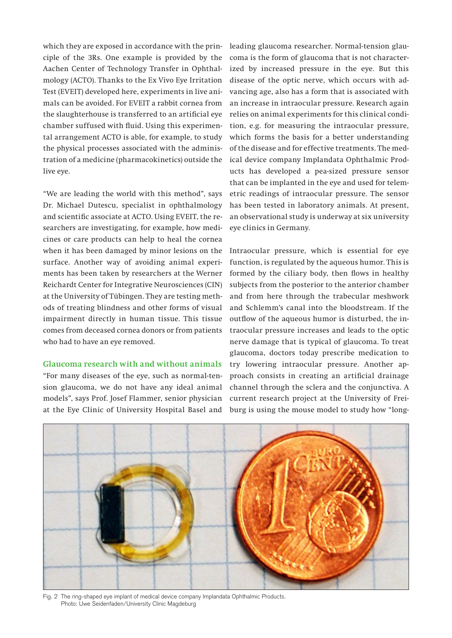which they are exposed in accordance with the principle of the 3Rs. One example is provided by the Aachen Center of Technology Transfer in Ophthalmology (ACTO). Thanks to the Ex Vivo Eye Irritation Test (EVEIT) developed here, experiments in live animals can be avoided. For EVEIT a rabbit cornea from the slaughterhouse is transferred to an artificial eye chamber suffused with fluid. Using this experimental arrangement ACTO is able, for example, to study the physical processes associated with the administration of a medicine (pharmacokinetics) outside the live eye.

"We are leading the world with this method", says Dr. Michael Dutescu, specialist in ophthalmology and scientific associate at ACTO. Using EVEIT, the researchers are investigating, for example, how medicines or care products can help to heal the cornea when it has been damaged by minor lesions on the surface. Another way of avoiding animal experiments has been taken by researchers at the Werner Reichardt Center for Integrative Neurosciences (CIN) at the University of Tübingen. They are testing methods of treating blindness and other forms of visual impairment directly in human tissue. This tissue comes from deceased cornea donors or from patients who had to have an eye removed.

### **Glaucoma research with and without animals**

"For many diseases of the eye, such as normal-tension glaucoma, we do not have any ideal animal models", says Prof. Josef Flammer, senior physician at the Eye Clinic of University Hospital Basel and leading glaucoma researcher. Normal-tension glaucoma is the form of glaucoma that is not characterized by increased pressure in the eye. But this disease of the optic nerve, which occurs with advancing age, also has a form that is associated with an increase in intraocular pressure. Research again relies on animal experiments for this clinical condition, e.g. for measuring the intraocular pressure, which forms the basis for a better understanding of the disease and for effective treatments. The medical device company Implandata Ophthalmic Products has developed a pea-sized pressure sensor that can be implanted in the eye and used for telemetric readings of intraocular pressure. The sensor has been tested in laboratory animals. At present, an observational study is underway at six university eye clinics in Germany.

Intraocular pressure, which is essential for eye function, is regulated by the aqueous humor. This is formed by the ciliary body, then flows in healthy subjects from the posterior to the anterior chamber and from here through the trabecular meshwork and Schlemm's canal into the bloodstream. If the outflow of the aqueous humor is disturbed, the intraocular pressure increases and leads to the optic nerve damage that is typical of glaucoma. To treat glaucoma, doctors today prescribe medication to try lowering intraocular pressure. Another approach consists in creating an artificial drainage channel through the sclera and the conjunctiva. A current research project at the University of Freiburg is using the mouse model to study how "long-



Fig. 2 The ring-shaped eye implant of medical device company Implandata Ophthalmic Products. Photo: Uwe Seidenfaden/University Clinic Magdeburg